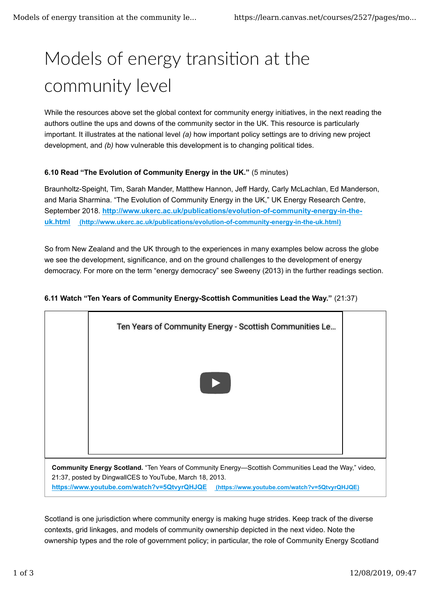# Models of energy transition at the community level

While the resources above set the global context for community energy initiatives, in the next reading the authors outline the ups and downs of the community sector in the UK. This resource is particularly important. It illustrates at the national level *(a)* how important policy settings are to driving new project development, and *(b)* how vulnerable this development is to changing political tides.

## **6.10 Read "The Evolution of Community Energy in the UK."** (5 minutes)

Braunholtz-Speight, Tim, Sarah Mander, Matthew Hannon, Jeff Hardy, Carly McLachlan, Ed Manderson, and Maria Sharmina. "The Evolution of Community Energy in the UK," UK Energy Research Centre, September 2018. **http://www.ukerc.ac.uk/publications/evolution-of-community-energy-in-theuk.html (http://www.ukerc.ac.uk/publications/evolution-of-community-energy-in-the-uk.html)**

So from New Zealand and the UK through to the experiences in many examples below across the globe we see the development, significance, and on the ground challenges to the development of energy democracy. For more on the term "energy democracy" see Sweeny (2013) in the further readings section.

## **6.11 Watch "Ten Years of Community Energy-Scottish Communities Lead the Way."** (21:37)



Scotland is one jurisdiction where community energy is making huge strides. Keep track of the diverse contexts, grid linkages, and models of community ownership depicted in the next video. Note the ownership types and the role of government policy; in particular, the role of Community Energy Scotland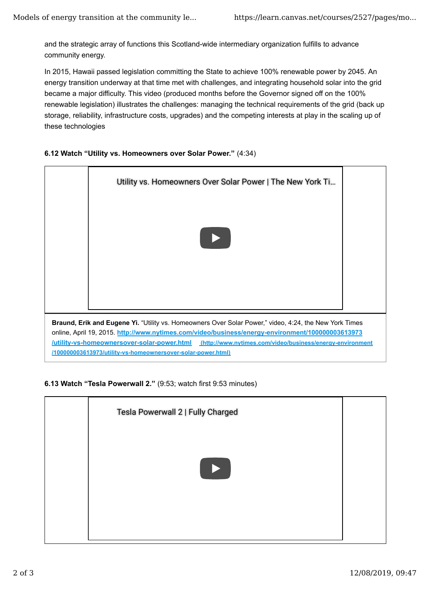and the strategic array of functions this Scotland-wide intermediary organization fulfills to advance community energy.

In 2015, Hawaii passed legislation committing the State to achieve 100% renewable power by 2045. An energy transition underway at that time met with challenges, and integrating household solar into the grid became a major difficulty. This video (produced months before the Governor signed off on the 100% renewable legislation) illustrates the challenges: managing the technical requirements of the grid (back up storage, reliability, infrastructure costs, upgrades) and the competing interests at play in the scaling up of these technologies

### **6.12 Watch "Utility vs. Homeowners over Solar Power."** (4:34)



### **6.13 Watch "Tesla Powerwall 2."** (9:53; watch first 9:53 minutes)